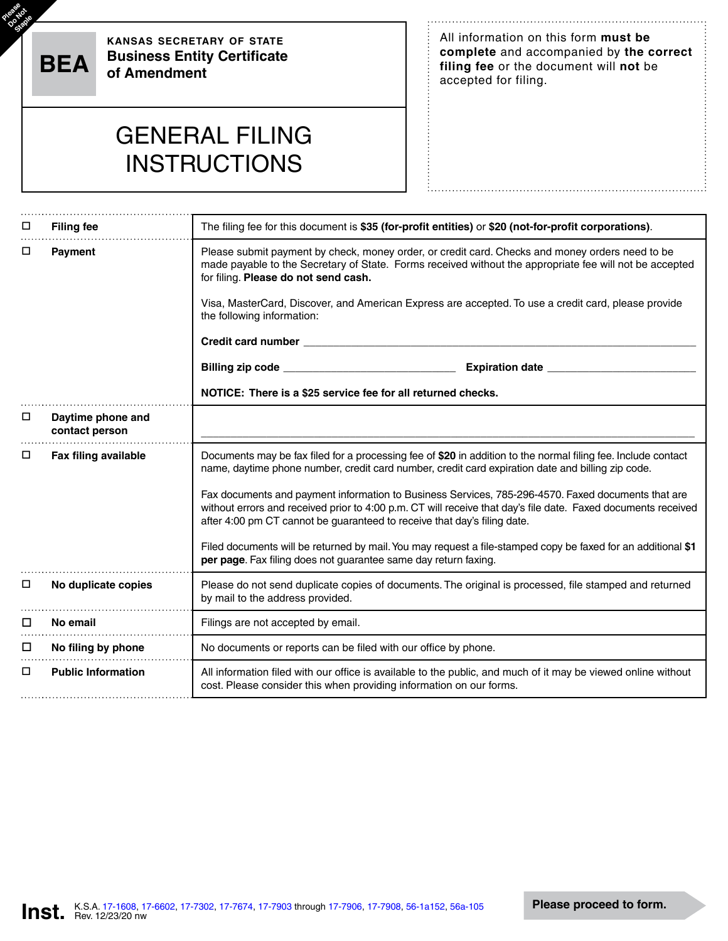Please<sup>e</sup><br>Oostaple

**kansas secretary of state Business Entity Certificate BEA of Amendment**

All information on this form **must be complete** and accompanied by **the correct filing fee** or the document will **not** be accepted for filing.

## GENERAL FILING **INSTRUCTIONS**

| □      | <b>Filing fee</b>                   | The filing fee for this document is \$35 (for-profit entities) or \$20 (not-for-profit corporations).                                                                                                                                                                                           |  |  |  |  |  |  |  |  |  |  |
|--------|-------------------------------------|-------------------------------------------------------------------------------------------------------------------------------------------------------------------------------------------------------------------------------------------------------------------------------------------------|--|--|--|--|--|--|--|--|--|--|
| □      | <b>Payment</b>                      | Please submit payment by check, money order, or credit card. Checks and money orders need to be<br>made payable to the Secretary of State. Forms received without the appropriate fee will not be accepted<br>for filing. Please do not send cash.                                              |  |  |  |  |  |  |  |  |  |  |
|        |                                     | Visa, MasterCard, Discover, and American Express are accepted. To use a credit card, please provide<br>the following information:                                                                                                                                                               |  |  |  |  |  |  |  |  |  |  |
|        |                                     | Credit card number _                                                                                                                                                                                                                                                                            |  |  |  |  |  |  |  |  |  |  |
|        |                                     | <b>Expiration date</b><br>Billing zip code _<br><u> 1980 - Johann Barbara, martin din Barbara</u>                                                                                                                                                                                               |  |  |  |  |  |  |  |  |  |  |
|        |                                     | NOTICE: There is a \$25 service fee for all returned checks.                                                                                                                                                                                                                                    |  |  |  |  |  |  |  |  |  |  |
| □      | Daytime phone and<br>contact person |                                                                                                                                                                                                                                                                                                 |  |  |  |  |  |  |  |  |  |  |
| □      | Fax filing available                | Documents may be fax filed for a processing fee of \$20 in addition to the normal filing fee. Include contact<br>name, daytime phone number, credit card number, credit card expiration date and billing zip code.                                                                              |  |  |  |  |  |  |  |  |  |  |
|        |                                     | Fax documents and payment information to Business Services, 785-296-4570. Faxed documents that are<br>without errors and received prior to 4:00 p.m. CT will receive that day's file date. Faxed documents received<br>after 4:00 pm CT cannot be guaranteed to receive that day's filing date. |  |  |  |  |  |  |  |  |  |  |
|        |                                     | Filed documents will be returned by mail. You may request a file-stamped copy be faxed for an additional \$1<br>per page. Fax filing does not guarantee same day return faxing.                                                                                                                 |  |  |  |  |  |  |  |  |  |  |
| $\Box$ | No duplicate copies                 | Please do not send duplicate copies of documents. The original is processed, file stamped and returned<br>by mail to the address provided.                                                                                                                                                      |  |  |  |  |  |  |  |  |  |  |
| □      | No email                            | Filings are not accepted by email.                                                                                                                                                                                                                                                              |  |  |  |  |  |  |  |  |  |  |
| $\Box$ | No filing by phone                  | No documents or reports can be filed with our office by phone.                                                                                                                                                                                                                                  |  |  |  |  |  |  |  |  |  |  |
| □      | <b>Public Information</b>           | All information filed with our office is available to the public, and much of it may be viewed online without<br>cost. Please consider this when providing information on our forms.                                                                                                            |  |  |  |  |  |  |  |  |  |  |

÷. .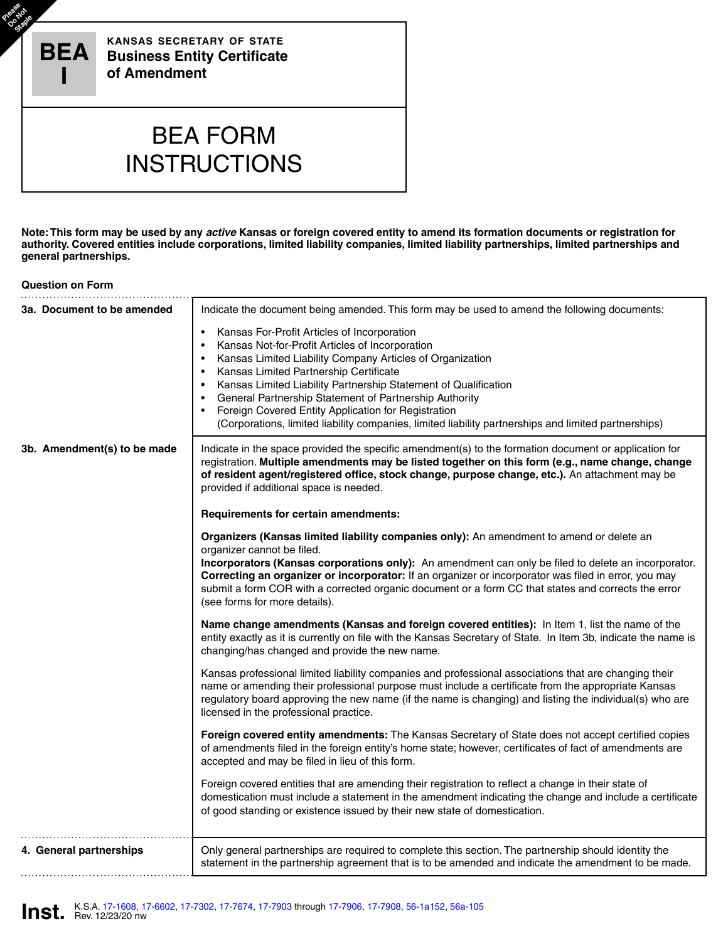

**Note: This form may be used by any** *active* **Kansas or foreign covered entity to amend its formation documents or registration for authority. Covered entities include corporations, limited liability companies, limited liability partnerships, limited partnerships and general partnerships.**

## **Question on Form**

| 3a. Document to be amended  | Indicate the document being amended. This form may be used to amend the following documents:                                                                                                                                                                                                                                                                                                                                                                                                                                                                       |  |  |  |  |  |  |  |  |  |
|-----------------------------|--------------------------------------------------------------------------------------------------------------------------------------------------------------------------------------------------------------------------------------------------------------------------------------------------------------------------------------------------------------------------------------------------------------------------------------------------------------------------------------------------------------------------------------------------------------------|--|--|--|--|--|--|--|--|--|
|                             | Kansas For-Profit Articles of Incorporation<br>$\bullet$<br>Kansas Not-for-Profit Articles of Incorporation<br>$\bullet$<br>Kansas Limited Liability Company Articles of Organization<br>$\bullet$<br>Kansas Limited Partnership Certificate<br>$\bullet$<br>Kansas Limited Liability Partnership Statement of Qualification<br>$\bullet$<br>General Partnership Statement of Partnership Authority<br>Foreign Covered Entity Application for Registration<br>(Corporations, limited liability companies, limited liability partnerships and limited partnerships) |  |  |  |  |  |  |  |  |  |
| 3b. Amendment(s) to be made | Indicate in the space provided the specific amendment(s) to the formation document or application for<br>registration. Multiple amendments may be listed together on this form (e.g., name change, change<br>of resident agent/registered office, stock change, purpose change, etc.). An attachment may be<br>provided if additional space is needed.                                                                                                                                                                                                             |  |  |  |  |  |  |  |  |  |
|                             | Requirements for certain amendments:                                                                                                                                                                                                                                                                                                                                                                                                                                                                                                                               |  |  |  |  |  |  |  |  |  |
|                             | Organizers (Kansas limited liability companies only): An amendment to amend or delete an<br>organizer cannot be filed.                                                                                                                                                                                                                                                                                                                                                                                                                                             |  |  |  |  |  |  |  |  |  |
|                             | Incorporators (Kansas corporations only): An amendment can only be filed to delete an incorporator.<br>Correcting an organizer or incorporator: If an organizer or incorporator was filed in error, you may<br>submit a form COR with a corrected organic document or a form CC that states and corrects the error<br>(see forms for more details).                                                                                                                                                                                                                |  |  |  |  |  |  |  |  |  |
|                             | Name change amendments (Kansas and foreign covered entities): In Item 1, list the name of the<br>entity exactly as it is currently on file with the Kansas Secretary of State. In Item 3b, indicate the name is<br>changing/has changed and provide the new name.                                                                                                                                                                                                                                                                                                  |  |  |  |  |  |  |  |  |  |
|                             | Kansas professional limited liability companies and professional associations that are changing their<br>name or amending their professional purpose must include a certificate from the appropriate Kansas<br>regulatory board approving the new name (if the name is changing) and listing the individual(s) who are<br>licensed in the professional practice.                                                                                                                                                                                                   |  |  |  |  |  |  |  |  |  |
|                             | Foreign covered entity amendments: The Kansas Secretary of State does not accept certified copies<br>of amendments filed in the foreign entity's home state; however, certificates of fact of amendments are<br>accepted and may be filed in lieu of this form.                                                                                                                                                                                                                                                                                                    |  |  |  |  |  |  |  |  |  |
|                             | Foreign covered entities that are amending their registration to reflect a change in their state of<br>domestication must include a statement in the amendment indicating the change and include a certificate<br>of good standing or existence issued by their new state of domestication.                                                                                                                                                                                                                                                                        |  |  |  |  |  |  |  |  |  |
| 4. General partnerships     | Only general partnerships are required to complete this section. The partnership should identity the<br>statement in the partnership agreement that is to be amended and indicate the amendment to be made.                                                                                                                                                                                                                                                                                                                                                        |  |  |  |  |  |  |  |  |  |

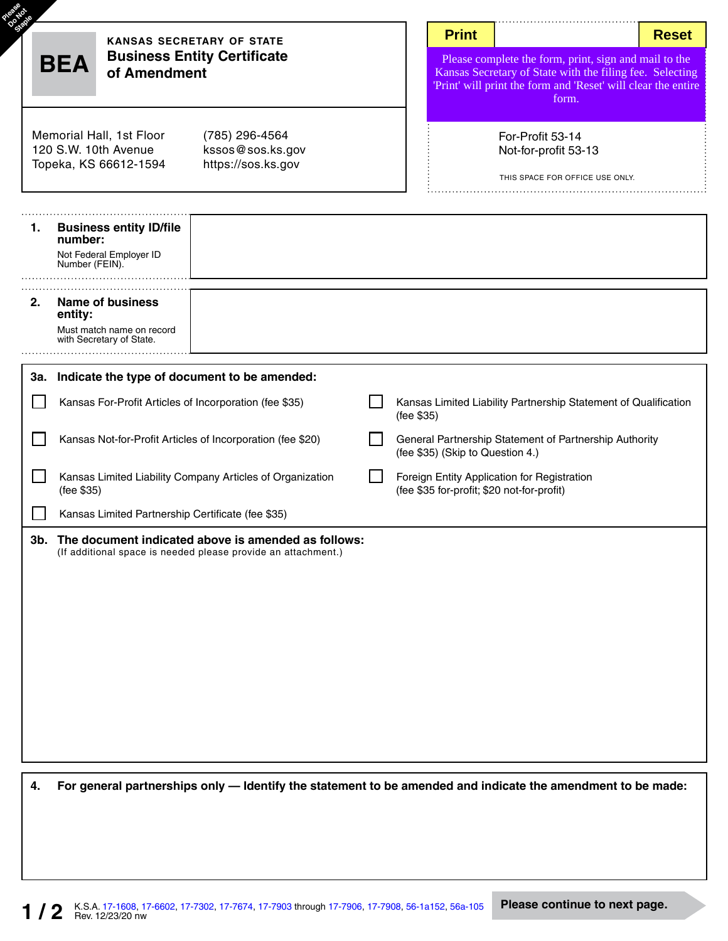| <b>BEA</b> | of Amendment                                                                                | <b>KANSAS SECRETARY OF STATE</b><br><b>Business Entity Certificate</b>                                                   | <b>Print</b><br><b>Reset</b><br>Please complete the form, print, sign and mail to the<br>Kansas Secretary of State with the filing fee. Selecting<br>'Print' will print the form and 'Reset' will clear the entire<br>form. |                                                                                                                                                                             |
|------------|---------------------------------------------------------------------------------------------|--------------------------------------------------------------------------------------------------------------------------|-----------------------------------------------------------------------------------------------------------------------------------------------------------------------------------------------------------------------------|-----------------------------------------------------------------------------------------------------------------------------------------------------------------------------|
|            | Memorial Hall, 1st Floor<br>120 S.W. 10th Avenue<br>Topeka, KS 66612-1594                   | (785) 296-4564<br>kssos@sos.ks.gov<br>https://sos.ks.gov                                                                 |                                                                                                                                                                                                                             | For-Profit 53-14<br>Not-for-profit 53-13<br>THIS SPACE FOR OFFICE USE ONLY.                                                                                                 |
| 1.         | <b>Business entity ID/file</b><br>number:<br>Not Federal Employer ID<br>Number (FEIN).      |                                                                                                                          |                                                                                                                                                                                                                             |                                                                                                                                                                             |
| 2.         | <b>Name of business</b><br>entity:<br>Must match name on record<br>with Secretary of State. |                                                                                                                          |                                                                                                                                                                                                                             |                                                                                                                                                                             |
|            | Kansas For-Profit Articles of Incorporation (fee \$35)                                      | 3a. Indicate the type of document to be amended:<br>Kansas Not-for-Profit Articles of Incorporation (fee \$20)           |                                                                                                                                                                                                                             | Kansas Limited Liability Partnership Statement of Qualification<br>(fee \$35)<br>General Partnership Statement of Partnership Authority<br>(fee \$35) (Skip to Question 4.) |
|            | (fee \$35)<br>Kansas Limited Partnership Certificate (fee \$35)                             | Kansas Limited Liability Company Articles of Organization                                                                |                                                                                                                                                                                                                             | Foreign Entity Application for Registration<br>(fee \$35 for-profit; \$20 not-for-profit)                                                                                   |
|            |                                                                                             | 3b. The document indicated above is amended as follows:<br>(If additional space is needed please provide an attachment.) |                                                                                                                                                                                                                             |                                                                                                                                                                             |
|            |                                                                                             |                                                                                                                          |                                                                                                                                                                                                                             |                                                                                                                                                                             |
| 4.         |                                                                                             |                                                                                                                          |                                                                                                                                                                                                                             | For general partnerships only - Identify the statement to be amended and indicate the amendment to be made:                                                                 |